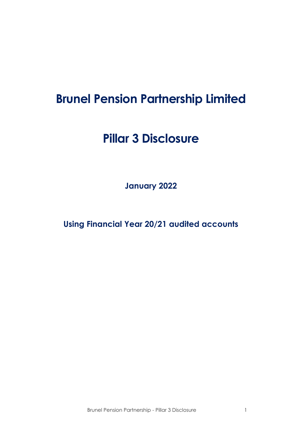# **Brunel Pension Partnership Limited**

# **Pillar 3 Disclosure**

**January 2022**

**Using Financial Year 20/21 audited accounts**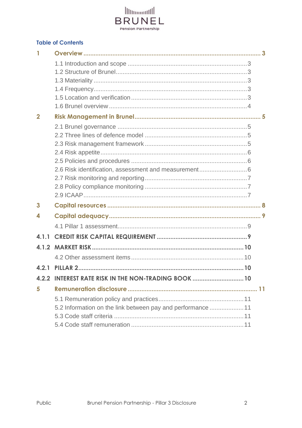

#### **Table of Contents**

| $\overline{2}$ |                                                             |  |
|----------------|-------------------------------------------------------------|--|
|                |                                                             |  |
|                |                                                             |  |
|                |                                                             |  |
|                |                                                             |  |
|                |                                                             |  |
|                | 2.6 Risk identification, assessment and measurement 6       |  |
|                |                                                             |  |
|                |                                                             |  |
|                |                                                             |  |
| 3              |                                                             |  |
| 4              |                                                             |  |
|                |                                                             |  |
| 4.1.1          |                                                             |  |
|                |                                                             |  |
|                |                                                             |  |
| 4.2.1          |                                                             |  |
|                | 4.2.2 INTEREST RATE RISK IN THE NON-TRADING BOOK  10        |  |
| 5              |                                                             |  |
|                |                                                             |  |
|                | 5.2 Information on the link between pay and performance  11 |  |
|                |                                                             |  |
|                |                                                             |  |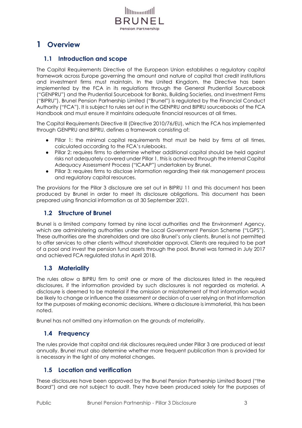

# <span id="page-2-1"></span><span id="page-2-0"></span>**1 Overview**

# **1.1 Introduction and scope**

The Capital Requirements Directive of the European Union establishes a regulatory capital framework across Europe governing the amount and nature of capital that credit institutions and investment firms must maintain. In the United Kingdom, the Directive has been implemented by the FCA in its regulations through the General Prudential Sourcebook ("GENPRU") and the Prudential Sourcebook for Banks, Building Societies, and Investment Firms ("BIPRU"). Brunel Pension Partnership Limited ("Brunel") is regulated by the Financial Conduct Authority ("FCA"). It is subject to rules set out in the GENPRU and BIPRU sourcebooks of the FCA Handbook and must ensure it maintains adequate financial resources at all times.

The Capital Requirements Directive III (Directive 2010/76/EU), which the FCA has implemented through GENPRU and BIPRU, defines a framework consisting of:

- Pillar 1: the minimal capital requirements that must be held by firms at all times, calculated according to the FCA's rulebooks.
- Pillar 2: requires firms to determine whether additional capital should be held against risks not adequately covered under Pillar 1, this is achieved through the Internal Capital Adequacy Assessment Process ("ICAAP") undertaken by Brunel.
- Pillar 3: requires firms to disclose information regarding their risk management process and regulatory capital resources.

The provisions for the Pillar 3 disclosure are set out in BIPRU 11 and this document has been produced by Brunel in order to meet its disclosure obligations. This document has been prepared using financial information as at 30 September 2021.

# <span id="page-2-2"></span>**1.2 Structure of Brunel**

Brunel is a limited company formed by nine local authorities and the Environment Agency, which are administering authorities under the Local Government Pension Scheme ("LGPS"). These authorities are the shareholders and are also Brunel's only clients. Brunel is not permitted to offer services to other clients without shareholder approval. Clients are required to be part of a pool and invest the pension fund assets through the pool. Brunel was formed in July 2017 and achieved FCA regulated status in April 2018.

# <span id="page-2-3"></span>**1.3 Materiality**

The rules allow a BIPRU firm to omit one or more of the disclosures listed in the required disclosures, if the information provided by such disclosures is not regarded as material. A disclosure is deemed to be material if the omission or misstatement of that information would be likely to change or influence the assessment or decision of a user relying on that information for the purposes of making economic decisions. Where a disclosure is immaterial, this has been noted.

Brunel has not omitted any information on the grounds of materiality.

# <span id="page-2-4"></span>**1.4 Frequency**

The rules provide that capital and risk disclosures required under Pillar 3 are produced at least annually. Brunel must also determine whether more frequent publication than is provided for is necessary in the light of any material changes.

# <span id="page-2-5"></span>**1.5 Location and verification**

These disclosures have been approved by the Brunel Pension Partnership Limited Board ("the Board") and are not subject to audit. They have been produced solely for the purposes of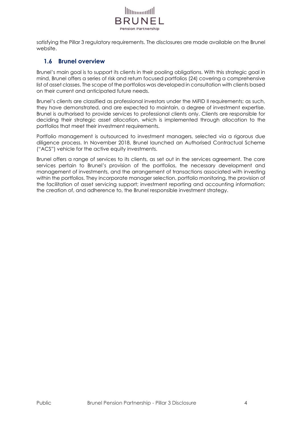

satisfying the Pillar 3 regulatory requirements. The disclosures are made available on the Brunel website.

### <span id="page-3-0"></span>**1.6 Brunel overview**

Brunel's main goal is to support its clients in their pooling obligations. With this strategic goal in mind, Brunel offers a series of risk and return focused portfolios (24) covering a comprehensive list of asset classes. The scope of the portfolios was developed in consultation with clients based on their current and anticipated future needs.

Brunel's clients are classified as professional investors under the MiFID II requirements; as such, they have demonstrated, and are expected to maintain, a degree of investment expertise. Brunel is authorised to provide services to professional clients only. Clients are responsible for deciding their strategic asset allocation, which is implemented through allocation to the portfolios that meet their investment requirements.

Portfolio management is outsourced to investment managers, selected via a rigorous due diligence process. In November 2018, Brunel launched an Authorised Contractual Scheme ("ACS") vehicle for the active equity investments.

Brunel offers a range of services to its clients, as set out in the services agreement. The core services pertain to Brunel's provision of the portfolios, the necessary development and management of investments, and the arrangement of transactions associated with investing within the portfolios. They incorporate manager selection, portfolio monitoring, the provision of the facilitation of asset servicing support; investment reporting and accounting information; the creation of, and adherence to, the Brunel responsible investment strategy.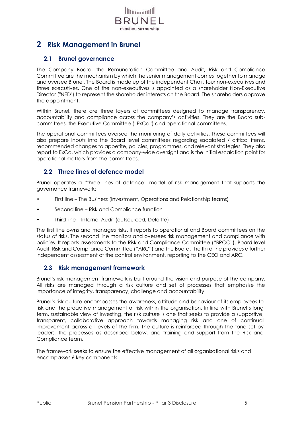

# <span id="page-4-1"></span><span id="page-4-0"></span>**2 Risk Management in Brunel**

# **2.1 Brunel governance**

The Company Board, the Remuneration Committee and Audit, Risk and Compliance Committee are the mechanism by which the senior management comes together to manage and oversee Brunel. The Board is made up of the independent Chair, four non-executives and three executives. One of the non-executives is appointed as a shareholder Non-Executive Director ("NED") to represent the shareholder interests on the Board. The shareholders approve the appointment.

Within Brunel, there are three layers of committees designed to manage transparency, accountability and compliance across the company's activities. They are the Board subcommittees, the Executive Committee ("ExCo") and operational committees.

The operational committees oversee the monitoring of daily activities. These committees will also prepare inputs into the Board level committees regarding escalated / critical items, recommended changes to appetite, policies, programmes, and relevant strategies. They also report to ExCo, which provides a company-wide oversight and is the initial escalation point for operational matters from the committees.

# <span id="page-4-2"></span>**2.2 Three lines of defence model**

Brunel operates a "three lines of defence" model of risk management that supports the governance framework:

- First line The Business (Investment, Operations and Relationship teams)
- Second line Risk and Compliance function
- Third line Internal Audit (outsourced, Deloitte)

The first line owns and manages risks. It reports to operational and Board committees on the status of risks. The second line monitors and oversees risk management and compliance with policies. It reports assessments to the Risk and Compliance Committee ("BRCC"), Board level Audit, Risk and Compliance Committee ("ARC") and the Board. The third line provides a further independent assessment of the control environment, reporting to the CEO and ARC.

#### <span id="page-4-3"></span>**2.3 Risk management framework**

Brunel's risk management framework is built around the vision and purpose of the company. All risks are managed through a risk culture and set of processes that emphasise the importance of integrity, transparency, challenge and accountability.

Brunel's risk culture encompasses the awareness, attitude and behaviour of its employees to risk and the proactive management of risk within the organisation. In line with Brunel's long term, sustainable view of investing, the risk culture is one that seeks to provide a supportive, transparent, collaborative approach towards managing risk and one of continual improvement across all levels of the firm. The culture is reinforced through the tone set by leaders, the processes as described below, and training and support from the Risk and Compliance team.

The framework seeks to ensure the effective management of all organisational risks and encompasses 6 key components.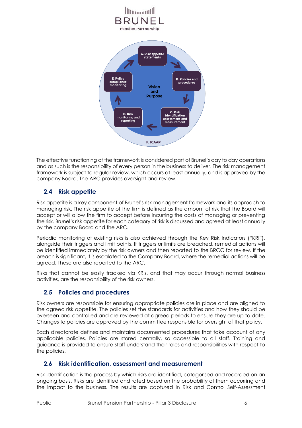

The effective functioning of the framework is considered part of Brunel's day to day operations and as such is the responsibility of every person in the business to deliver. The risk management framework is subject to regular review, which occurs at least annually, and is approved by the company Board. The ARC provides oversight and review.

# <span id="page-5-0"></span>**2.4 Risk appetite**

Risk appetite is a key component of Brunel's risk management framework and its approach to managing risk. The risk appetite of the firm is defined as the amount of risk that the Board will accept or will allow the firm to accept before incurring the costs of managing or preventing the risk. Brunel's risk appetite for each category of risk is discussed and agreed at least annually by the company Board and the ARC.

Periodic monitoring of existing risks is also achieved through the Key Risk Indicators ("KRI"), alongside their triggers and limit points. If triggers or limits are breached, remedial actions will be identified immediately by the risk owners and then reported to the BRCC for review. If the breach is significant, it is escalated to the Company Board, where the remedial actions will be agreed. These are also reported to the ARC.

Risks that cannot be easily tracked via KRIs, and that may occur through normal business activities, are the responsibility of the risk owners.

# <span id="page-5-1"></span>**2.5 Policies and procedures**

Risk owners are responsible for ensuring appropriate policies are in place and are aligned to the agreed risk appetite. The policies set the standards for activities and how they should be overseen and controlled and are reviewed at agreed periods to ensure they are up to date. Changes to policies are approved by the committee responsible for oversight of that policy.

Each directorate defines and maintains documented procedures that take account of any applicable policies. Policies are stored centrally, so accessible to all staff. Training and guidance is provided to ensure staff understand their roles and responsibilities with respect to the policies.

# <span id="page-5-2"></span>**2.6 Risk identification, assessment and measurement**

Risk identification is the process by which risks are identified, categorised and recorded on an ongoing basis. Risks are identified and rated based on the probability of them occurring and the impact to the business. The results are captured in Risk and Control Self-Assessment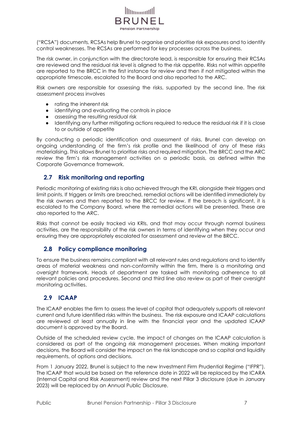

("RCSA") documents. RCSAs help Brunel to organise and prioritise risk exposures and to identify control weaknesses. The RCSAs are performed for key processes across the business.

The risk owner, in conjunction with the directorate lead, is responsible for ensuring their RCSAs are reviewed and the residual risk level is aligned to the risk appetite. Risks not within appetite are reported to the BRCC in the first instance for review and then if not mitigated within the appropriate timescale, escalated to the Board and also reported to the ARC.

Risk owners are responsible for assessing the risks, supported by the second line. The risk assessment process involves

- rating the inherent risk
- identifying and evaluating the controls in place
- assessing the resulting residual risk
- Identifying any further mitigating actions required to reduce the residual risk if it is close to or outside of appetite

By conducting a periodic identification and assessment of risks, Brunel can develop an ongoing understanding of the firm's risk profile and the likelihood of any of these risks materialising. This allows Brunel to prioritise risks and required mitigation. The BRCC and the ARC review the firm's risk management activities on a periodic basis, as defined within the Corporate Governance framework.

#### <span id="page-6-0"></span>**2.7 Risk monitoring and reporting**

Periodic monitoring of existing risks is also achieved through the KRI, alongside their triggers and limit points. If triggers or limits are breached, remedial actions will be identified immediately by the risk owners and then reported to the BRCC for review. If the breach is significant, it is escalated to the Company Board, where the remedial actions will be presented. These are also reported to the ARC.

Risks that cannot be easily tracked via KRIs, and that may occur through normal business activities, are the responsibility of the risk owners in terms of identifying when they occur and ensuring they are appropriately escalated for assessment and review at the BRCC.

#### <span id="page-6-1"></span>**2.8 Policy compliance monitoring**

To ensure the business remains compliant with all relevant rules and regulations and to identify areas of material weakness and non-conformity within the firm, there is a monitoring and oversight framework. Heads of department are tasked with monitoring adherence to all relevant policies and procedures. Second and third line also review as part of their oversight monitoring activities.

#### <span id="page-6-2"></span>**2.9 ICAAP**

The ICAAP enables the firm to assess the level of capital that adequately supports all relevant current and future identified risks within the business. The risk exposure and ICAAP calculations are reviewed at least annually in line with the financial year and the updated ICAAP document is approved by the Board.

Outside of the scheduled review cycle, the impact of changes on the ICAAP calculation is considered as part of the ongoing risk management processes. When making important decisions, the Board will consider the impact on the risk landscape and so capital and liquidity requirements, of options and decisions.

From 1 January 2022, Brunel is subject to the new Investment Firm Prudential Regime ("IFPR"). The ICAAP that would be based on the reference date in 2022 will be replaced by the ICARA (Internal Capital and Risk Assessment) review and the next Pillar 3 disclosure (due in January 2023) will be replaced by an Annual Public Disclosure.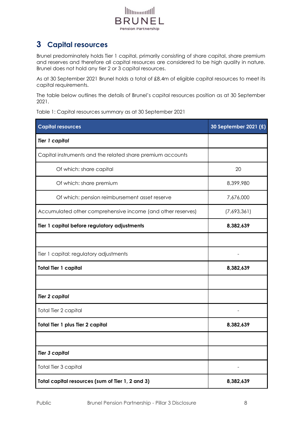

# <span id="page-7-0"></span>**3 Capital resources**

Brunel predominately holds Tier 1 capital, primarily consisting of share capital, share premium and reserves and therefore all capital resources are considered to be high quality in nature. Brunel does not hold any tier 2 or 3 capital resources.

As at 30 September 2021 Brunel holds a total of £8.4m of eligible capital resources to meet its capital requirements.

The table below outlines the details of Brunel's capital resources position as at 30 September 2021.

Table 1: Capital resources summary as at 30 September 2021

| <b>Capital resources</b>                                    | 30 September 2021 (£) |
|-------------------------------------------------------------|-----------------------|
| <b>Tier 1 capital</b>                                       |                       |
| Capital instruments and the related share premium accounts  |                       |
| Of which: share capital                                     | 20                    |
| Of which: share premium                                     | 8,399,980             |
| Of which: pension reimbursement asset reserve               | 7,676,000             |
| Accumulated other comprehensive income (and other reserves) | (7,693,361)           |
| Tier 1 capital before regulatory adjustments                | 8,382,639             |
|                                                             |                       |
| Tier 1 capital: regulatory adjustments                      |                       |
| <b>Total Tier 1 capital</b>                                 | 8,382,639             |
|                                                             |                       |
| <b>Tier 2 capital</b>                                       |                       |
| Total Tier 2 capital                                        |                       |
| <b>Total Tier 1 plus Tier 2 capital</b>                     | 8,382,639             |
|                                                             |                       |
| <b>Tier 3 capital</b>                                       |                       |
| Total Tier 3 capital                                        |                       |
| Total capital resources (sum of Tier 1, 2 and 3)            | 8,382,639             |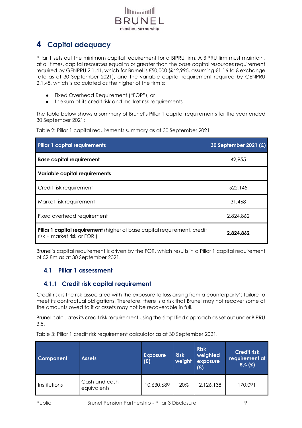

# <span id="page-8-0"></span>**4 Capital adequacy**

Pillar 1 sets out the minimum capital requirement for a BIPRU firm. A BIPRU firm must maintain, at all times, capital resources equal to or greater than the base capital resources requirement required by GENPRU 2.1.41, which for Brunel is €50,000 (£42,995, assuming €1.16 to £ exchange rate as at 30 September 2021), and the variable capital requirement required by GENPRU 2.1.45, which is calculated as the higher of the firm's:

- Fixed Overhead Requirement ("FOR"); or
- the sum of its credit risk and market risk requirements

The table below shows a summary of Brunel's Pillar 1 capital requirements for the year ended 30 September 2021:

Table 2: Pillar 1 capital requirements summary as at 30 September 2021

| <b>Pillar 1 capital requirements</b>                                                                          | 30 September 2021 (£) |
|---------------------------------------------------------------------------------------------------------------|-----------------------|
| <b>Base capital requirement</b>                                                                               | 42,955                |
| <b>Variable capital requirements</b>                                                                          |                       |
| Credit risk requirement                                                                                       | 522,145               |
| Market risk requirement                                                                                       | 31,468                |
| Fixed overhead requirement                                                                                    | 2,824,862             |
| <b>Pillar 1 capital requirement</b> (higher of base capital requirement, credit<br>risk + market risk or FOR) | 2,824,862             |

Brunel's capital requirement is driven by the FOR, which results in a Pillar 1 capital requirement of £2.8m as at 30 September 2021.

# <span id="page-8-1"></span>**4.1 Pillar 1 assessment**

# <span id="page-8-2"></span>**4.1.1 Credit risk capital requirement**

Credit risk is the risk associated with the exposure to loss arising from a counterparty's failure to meet its contractual obligations. Therefore, there is a risk that Brunel may not recover some of the amounts owed to it or assets may not be recoverable in full.

Brunel calculates its credit risk requirement using the simplified approach as set out under BIPRU 3.5.

Table 3: Pillar 1 credit risk requirement calculator as at 30 September 2021.

| <b>Component</b> | <b>Assets</b>                | <b>Exposure</b><br>(E) | <b>Risk</b><br>weight | <b>Risk</b><br>weighted<br>exposure<br>(E) | <b>Credit risk</b><br>requirement at<br>$8\%$ (£) |
|------------------|------------------------------|------------------------|-----------------------|--------------------------------------------|---------------------------------------------------|
| Institutions     | Cash and cash<br>equivalents | 10,630,689             | 20%                   | 2,126,138                                  | 170,091                                           |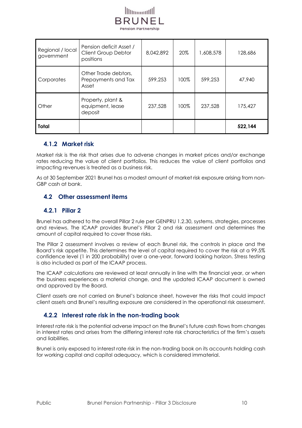

| Regional / local<br>government | Pension deficit Asset /<br>Client Group Debtor<br>positions | 8,042,892 | 20%  | 1,608,578 | 128,686 |
|--------------------------------|-------------------------------------------------------------|-----------|------|-----------|---------|
| Corporates                     | Other Trade debtors,<br>Prepayments and Tax<br>Asset        | 599,253   | 100% | 599,253   | 47,940  |
| Other                          | Property, plant &<br>equipment, lease<br>deposit            | 237,528   | 100% | 237,528   | 175,427 |
| <b>Total</b>                   |                                                             |           |      |           | 522,144 |

#### <span id="page-9-0"></span>**4.1.2 Market risk**

Market risk is the risk that arises due to adverse changes in market prices and/or exchange rates reducing the value of client portfolios. This reduces the value of client portfolios and impacting revenues is treated as a business risk.

As at 30 September 2021 Brunel has a modest amount of market risk exposure arising from non-GBP cash at bank.

#### <span id="page-9-1"></span>**4.2 Other assessment items**

#### <span id="page-9-2"></span>**4.2.1 Pillar 2**

Brunel has adhered to the overall Pillar 2 rule per GENPRU 1.2.30, systems, strategies, processes and reviews. The ICAAP provides Brunel's Pillar 2 and risk assessment and determines the amount of capital required to cover those risks.

The Pillar 2 assessment involves a review of each Brunel risk, the controls in place and the Board's risk appetite. This determines the level of capital required to cover the risk at a 99.5% confidence level (1 in 200 probability) over a one-year, forward looking horizon. Stress testing is also included as part of the ICAAP process.

The ICAAP calculations are reviewed at least annually in line with the financial year, or when the business experiences a material change, and the updated ICAAP document is owned and approved by the Board.

Client assets are not carried on Brunel's balance sheet, however the risks that could impact client assets and Brunel's resulting exposure are considered in the operational risk assessment.

# <span id="page-9-3"></span>**4.2.2 Interest rate risk in the non-trading book**

Interest rate risk is the potential adverse impact on the Brunel's future cash flows from changes in interest rates and arises from the differing interest rate risk characteristics of the firm's assets and liabilities.

Brunel is only exposed to interest rate risk in the non-trading book on its accounts holding cash for working capital and capital adequacy, which is considered immaterial.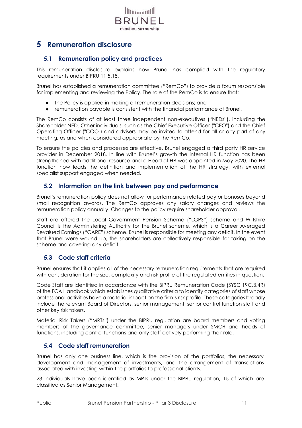

# <span id="page-10-1"></span><span id="page-10-0"></span>**5 Remuneration disclosure**

# **5.1 Remuneration policy and practices**

This remuneration disclosure explains how Brunel has complied with the regulatory requirements under BIPRU 11.5.18.

Brunel has established a remuneration committee ("RemCo") to provide a forum responsible for implementing and reviewing the Policy. The role of the RemCo is to ensure that:

- the Policy is applied in making all remuneration decisions; and
- remuneration payable is consistent with the financial performance of Brunel.

The RemCo consists of at least three independent non-executives ("NEDs"), including the Shareholder NED. Other individuals, such as the Chief Executive Officer ("CEO") and the Chief Operating Officer ("COO") and advisers may be invited to attend for all or any part of any meeting, as and when considered appropriate by the RemCo.

To ensure the policies and processes are effective, Brunel engaged a third party HR service provider in December 2018. In line with Brunel's growth the internal HR function has been strengthened with additional resource and a Head of HR was appointed in May 2020. The HR function now leads the definition and implementation of the HR strategy, with external specialist support engaged when needed.

#### <span id="page-10-2"></span>**5.2 Information on the link between pay and performance**

Brunel's remuneration policy does not allow for performance related pay or bonuses beyond small recognition awards. The RemCo approves any salary changes and reviews the remuneration policy annually. Changes to the policy require shareholder approval.

Staff are offered the Local Government Pension Scheme ("LGPS") scheme and Wiltshire Council is the Administering Authority for the Brunel scheme, which is a Career Averaged Revalued Earnings ("CARE") scheme. Brunel is responsible for meeting any deficit. In the event that Brunel were wound up, the shareholders are collectively responsible for taking on the scheme and covering any deficit.

# <span id="page-10-3"></span>**5.3 Code staff criteria**

Brunel ensures that it applies all of the necessary remuneration requirements that are required with consideration for the size, complexity and risk profile of the regulated entities in question.

Code Staff are identified in accordance with the BIPRU Remuneration Code (SYSC 19C.3.4R) of the FCA Handbook which establishes qualitative criteria to identify categories of staff whose professional activities have a material impact on the firm's risk profile. These categories broadly include the relevant Board of Directors, senior management, senior control function staff and other key risk takers.

Material Risk Takers ("MRTs") under the BIPRU regulation are board members and voting members of the governance committee, senior managers under SMCR and heads of functions, including control functions and only staff actively performing their role.

#### <span id="page-10-4"></span>**5.4 Code staff remuneration**

Brunel has only one business line, which is the provision of the portfolios, the necessary development and management of investments, and the arrangement of transactions associated with investing within the portfolios to professional clients.

23 individuals have been identified as MRTs under the BIPRU regulation, 15 of which are classified as Senior Management.